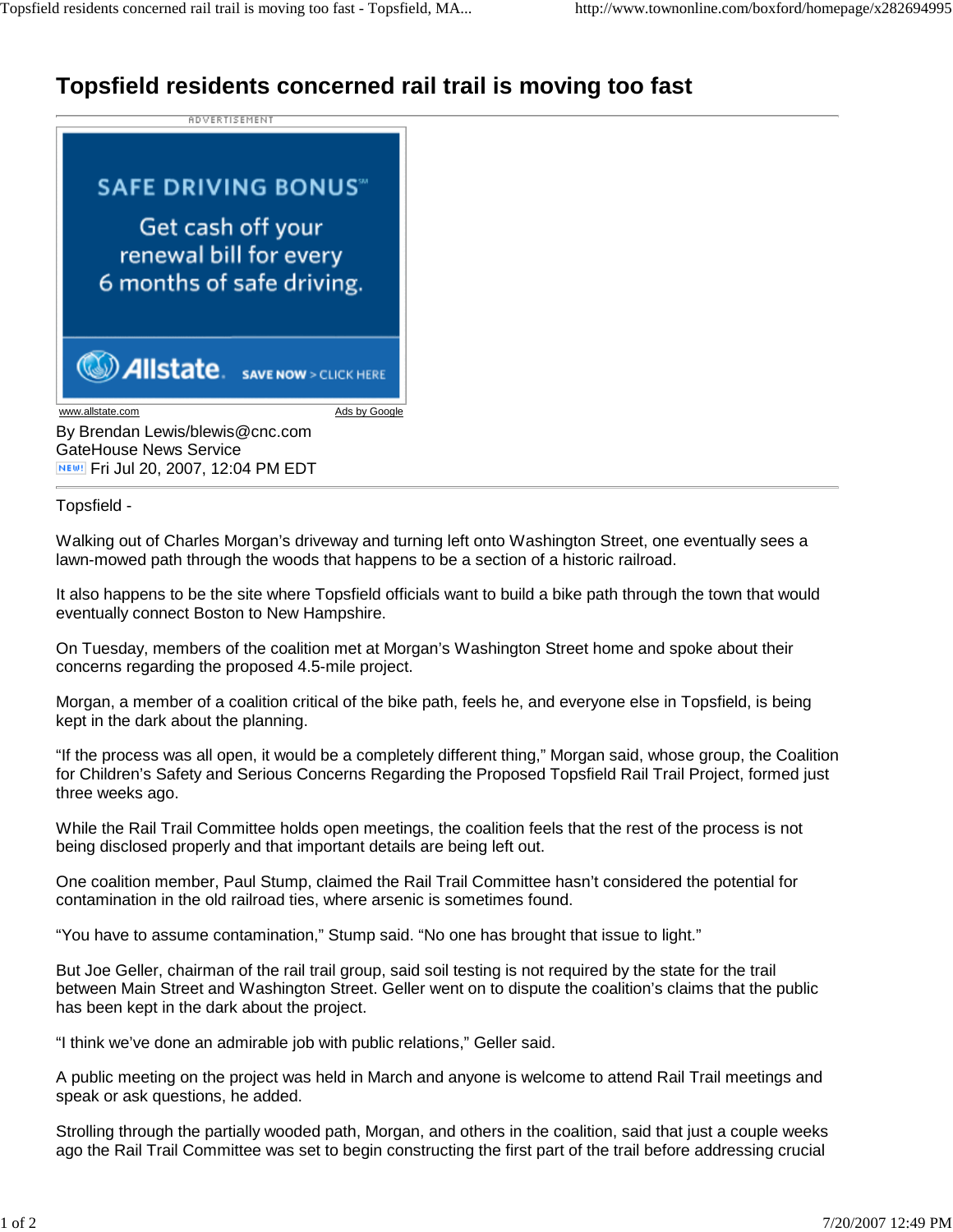## **Topsfield residents concerned rail trail is moving too fast**

**ADVERTISEMENT** 

## **SAFE DRIVING BONUS** Get cash off your renewal bill for every 6 months of safe driving.

**MAIlstate** SAVE NOW > CLICK HERE

www.allstate.com Ads by Google

By Brendan Lewis/blewis@cnc.com GateHouse News Service **NEW!** Fri Jul 20, 2007, 12:04 PM EDT

Topsfield -

Walking out of Charles Morgan's driveway and turning left onto Washington Street, one eventually sees a lawn-mowed path through the woods that happens to be a section of a historic railroad.

It also happens to be the site where Topsfield officials want to build a bike path through the town that would eventually connect Boston to New Hampshire.

On Tuesday, members of the coalition met at Morgan's Washington Street home and spoke about their concerns regarding the proposed 4.5-mile project.

Morgan, a member of a coalition critical of the bike path, feels he, and everyone else in Topsfield, is being kept in the dark about the planning.

"If the process was all open, it would be a completely different thing," Morgan said, whose group, the Coalition for Children's Safety and Serious Concerns Regarding the Proposed Topsfield Rail Trail Project, formed just three weeks ago.

While the Rail Trail Committee holds open meetings, the coalition feels that the rest of the process is not being disclosed properly and that important details are being left out.

One coalition member, Paul Stump, claimed the Rail Trail Committee hasn't considered the potential for contamination in the old railroad ties, where arsenic is sometimes found.

"You have to assume contamination," Stump said. "No one has brought that issue to light."

But Joe Geller, chairman of the rail trail group, said soil testing is not required by the state for the trail between Main Street and Washington Street. Geller went on to dispute the coalition's claims that the public has been kept in the dark about the project.

"I think we've done an admirable job with public relations," Geller said.

A public meeting on the project was held in March and anyone is welcome to attend Rail Trail meetings and speak or ask questions, he added.

Strolling through the partially wooded path, Morgan, and others in the coalition, said that just a couple weeks ago the Rail Trail Committee was set to begin constructing the first part of the trail before addressing crucial